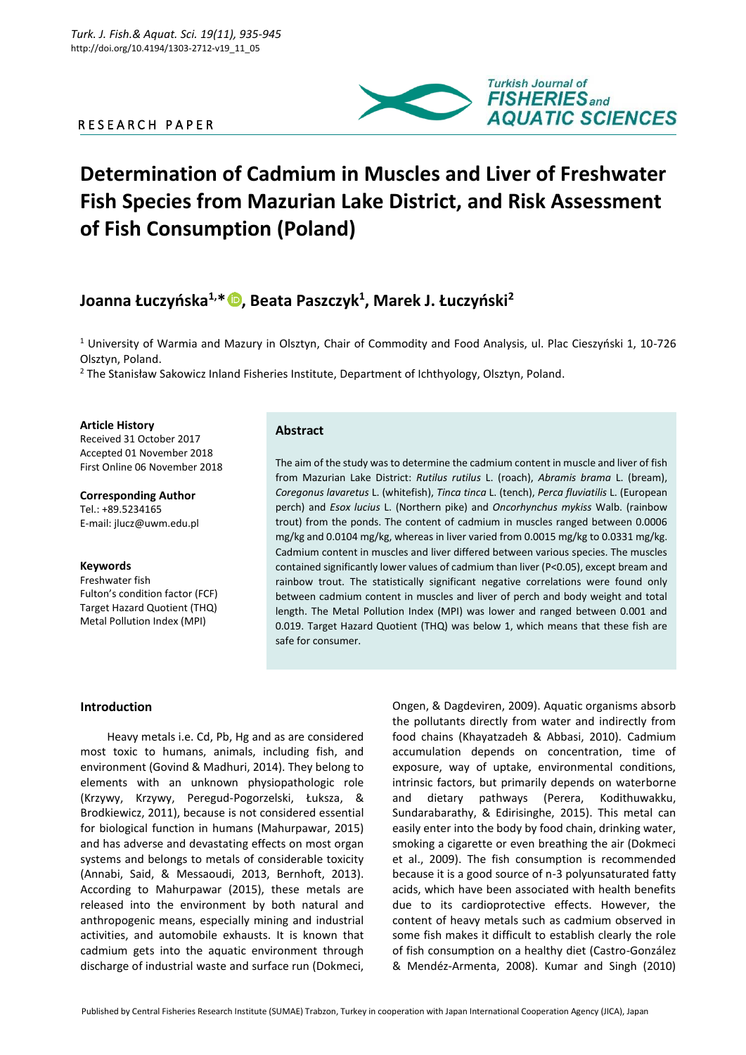# R E S E A R C H P A P E R



# **Determination of Cadmium in Muscles and Liver of Freshwater Fish Species from Mazurian Lake District, and Risk Assessment of Fish Consumption (Poland)**

# **Joanna Łuczyńska1,\* [,](https://orcid.org/0000-0002-4865-683X) Beata Paszczyk<sup>1</sup> , Marek J. Łuczyński<sup>2</sup>**

<sup>1</sup> University of Warmia and Mazury in Olsztyn, Chair of Commodity and Food Analysis, ul. Plac Cieszyński 1, 10-726 Olsztyn, Poland.

<sup>2</sup> The Stanisław Sakowicz Inland Fisheries Institute, Department of Ichthyology, Olsztyn, Poland.

**Article History** Received 31 October 2017 Accepted 01 November 2018 First Online 06 November 2018

**Corresponding Author** Tel.: +89.5234165 E-mail: jlucz@uwm.edu.pl

#### **Keywords**

Freshwater fish Fulton's condition factor (FCF) Target Hazard Quotient (THQ) Metal Pollution Index (MPI)

# **Abstract**

The aim of the study was to determine the cadmium content in muscle and liver of fish from Mazurian Lake District: *Rutilus rutilus* L. (roach), *Abramis brama* L. (bream), *Coregonus lavaretus* L. (whitefish), *Tinca tinca* L. (tench), *Perca fluviatilis* L. (European perch) and *Esox lucius* L. (Northern pike) and *Oncorhynchus mykiss* Walb. (rainbow trout) from the ponds. The content of cadmium in muscles ranged between 0.0006 mg/kg and 0.0104 mg/kg, whereas in liver varied from 0.0015 mg/kg to 0.0331 mg/kg. Cadmium content in muscles and liver differed between various species. The muscles contained significantly lower values of cadmium than liver (P<0.05), except bream and rainbow trout. The statistically significant negative correlations were found only between cadmium content in muscles and liver of perch and body weight and total length. The Metal Pollution Index (MPI) was lower and ranged between 0.001 and 0.019. Target Hazard Quotient (THQ) was below 1, which means that these fish are safe for consumer.

# **Introduction**

Heavy metals i.e. Cd, Pb, Hg and as are considered most toxic to humans, animals, including fish, and environment (Govind & Madhuri, 2014). They belong to elements with an unknown physiopathologic role (Krzywy, Krzywy, Peregud-Pogorzelski, Łuksza, & Brodkiewicz, 2011), because is not considered essential for biological function in humans (Mahurpawar, 2015) and has adverse and devastating effects on most organ systems and belongs to metals of considerable toxicity (Annabi, Said, & Messaoudi, 2013, Bernhoft, 2013). According to Mahurpawar (2015), these metals are released into the environment by both natural and anthropogenic means, especially mining and industrial activities, and automobile exhausts. It is known that cadmium gets into the aquatic environment through discharge of industrial waste and surface run (Dokmeci,

Ongen, & Dagdeviren, 2009). Aquatic organisms absorb the pollutants directly from water and indirectly from food chains (Khayatzadeh & Abbasi, 2010). Cadmium accumulation depends on concentration, time of exposure, way of uptake, environmental conditions, intrinsic factors, but primarily depends on waterborne and dietary pathways (Perera, Kodithuwakku, Sundarabarathy, & Edirisinghe, 2015). This metal can easily enter into the body by food chain, drinking water, smoking a cigarette or even breathing the air (Dokmeci et al., 2009). The fish consumption is recommended because it is a good source of n-3 polyunsaturated fatty acids, which have been associated with health benefits due to its cardioprotective effects. However, the content of heavy metals such as cadmium observed in some fish makes it difficult to establish clearly the role of fish consumption on a healthy diet (Castro-González & Mendéz-Armenta, 2008). Kumar and Singh (2010)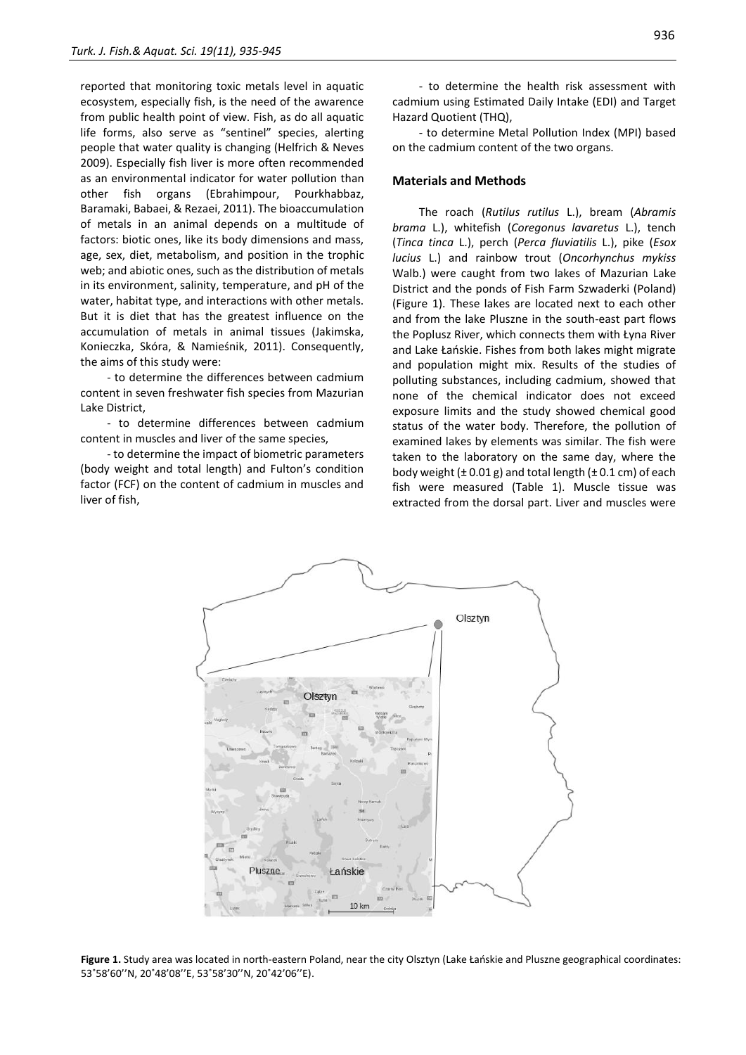reported that monitoring toxic metals level in aquatic ecosystem, especially fish, is the need of the awarence from public health point of view. Fish, as do all aquatic life forms, also serve as "sentinel" species, alerting people that water quality is changing (Helfrich & Neves 2009). Especially fish liver is more often recommended as an environmental indicator for water pollution than other fish organs (Ebrahimpour, Pourkhabbaz, Baramaki, Babaei, & Rezaei, 2011). The bioaccumulation of metals in an animal depends on a multitude of factors: biotic ones, like its body dimensions and mass, age, sex, diet, metabolism, and position in the trophic web; and abiotic ones, such as the distribution of metals in its environment, salinity, temperature, and pH of the water, habitat type, and interactions with other metals. But it is diet that has the greatest influence on the accumulation of metals in animal tissues (Jakimska, Konieczka, Skóra, & Namieśnik, 2011). Consequently, the aims of this study were:

- to determine the differences between cadmium content in seven freshwater fish species from Mazurian Lake District,

- to determine differences between cadmium content in muscles and liver of the same species,

- to determine the impact of biometric parameters (body weight and total length) and Fulton's condition factor (FCF) on the content of cadmium in muscles and liver of fish,

- to determine the health risk assessment with cadmium using Estimated Daily Intake (EDI) and Target Hazard Quotient (THQ),

- to determine Metal Pollution Index (MPI) based on the cadmium content of the two organs.

#### **Materials and Methods**

The roach (*Rutilus rutilus* L.), bream (*Abramis brama* L.), whitefish (*Coregonus lavaretus* L.), tench (*Tinca tinca* L.), perch (*Perca fluviatilis* L.), pike (*Esox lucius* L.) and rainbow trout (*Oncorhynchus mykiss*  Walb.) were caught from two lakes of Mazurian Lake District and the ponds of Fish Farm Szwaderki (Poland) (Figure 1). These lakes are located next to each other and from the lake Pluszne in the south-east part flows the Poplusz River, which connects them with Łyna River and Lake Łańskie. Fishes from both lakes might migrate and population might mix. Results of the studies of polluting substances, including cadmium, showed that none of the chemical indicator does not exceed exposure limits and the study showed chemical good status of the water body. Therefore, the pollution of examined lakes by elements was similar. The fish were taken to the laboratory on the same day, where the body weight  $(\pm 0.01 \text{ g})$  and total length  $(\pm 0.1 \text{ cm})$  of each fish were measured (Table 1). Muscle tissue was extracted from the dorsal part. Liver and muscles were



**Figure 1.** Study area was located in north-eastern Poland, near the city Olsztyn (Lake Łańskie and Pluszne geographical coordinates: 53˚58'60''N, 20˚48'08''E, 53˚58'30''N, 20˚42'06''E).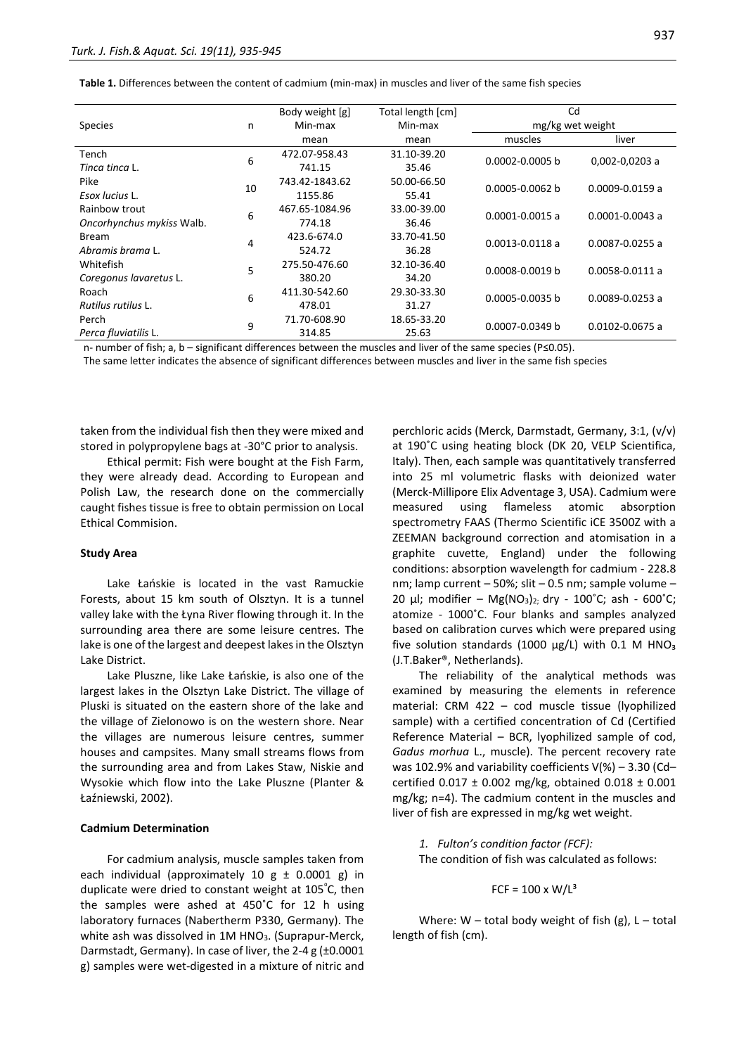|                           |    | Total length [cm]<br>Body weight [g] |             | Cd                  |                     |  |
|---------------------------|----|--------------------------------------|-------------|---------------------|---------------------|--|
| <b>Species</b>            | n  | Min-max                              | Min-max     | mg/kg wet weight    |                     |  |
|                           |    | mean                                 | mean        | muscles             | liver               |  |
| Tench                     | 6  | 472.07-958.43                        | 31.10-39.20 | 0.0002-0.0005 b     | 0,002-0,0203 a      |  |
| Tinca tinca L.            |    | 741.15                               | 35.46       |                     |                     |  |
| Pike                      | 10 | 743.42-1843.62                       | 50.00-66.50 | 0.0005-0.0062 b     | $0.0009 - 0.0159$ a |  |
| Esox lucius L.            |    | 1155.86                              | 55.41       |                     |                     |  |
| Rainbow trout             | 6  | 467.65-1084.96                       | 33.00-39.00 | $0.0001 - 0.0015$ a | $0.0001 - 0.0043$ a |  |
| Oncorhynchus mykiss Walb. |    | 774.18                               | 36.46       |                     |                     |  |
| <b>Bream</b>              | 4  | 423.6-674.0                          | 33.70-41.50 | $0.0013 - 0.0118$ a | $0.0087 - 0.0255$ a |  |
| Abramis brama L.          |    | 524.72                               | 36.28       |                     |                     |  |
| Whitefish                 | 5  | 275.50-476.60                        | 32.10-36.40 | 0.0008-0.0019 b     | $0.0058 - 0.0111$ a |  |
| Coregonus lavaretus L.    |    | 380.20                               | 34.20       |                     |                     |  |
| Roach                     | 6  | 411.30-542.60                        | 29.30-33.30 | 0.0005-0.0035 b     | $0.0089 - 0.0253$ a |  |
| Rutilus rutilus L.        |    | 478.01                               | 31.27       |                     |                     |  |
| Perch                     | 9  | 71.70-608.90                         | 18.65-33.20 | 0.0007-0.0349 b     | 0.0102-0.0675 a     |  |
| Perca fluviatilis L.      |    | 314.85                               | 25.63       |                     |                     |  |

n- number of fish; a, b – significant differences between the muscles and liver of the same species (P≤0.05).

The same letter indicates the absence of significant differences between muscles and liver in the same fish species

taken from the individual fish then they were mixed and stored in polypropylene bags at -30°C prior to analysis.

Ethical permit: Fish were bought at the Fish Farm, they were already dead. According to European and Polish Law, the research done on the commercially caught fishes tissue is free to obtain permission on Local Ethical Commision.

#### **Study Area**

Lake Łańskie is located in the vast Ramuckie Forests, about 15 km south of Olsztyn. It is a tunnel valley lake with the Łyna River flowing through it. In the surrounding area there are some leisure centres. The lake is one of the largest and deepest lakes in the Olsztyn Lake District.

Lake Pluszne, like Lake Łańskie, is also one of the largest lakes in the Olsztyn Lake District. The village of Pluski is situated on the eastern shore of the lake and the village of Zielonowo is on the western shore. Near the villages are numerous leisure centres, summer houses and campsites. Many small streams flows from the surrounding area and from Lakes Staw, Niskie and Wysokie which flow into the Lake Pluszne (Planter & Łaźniewski, 2002).

#### **Cadmium Determination**

For cadmium analysis, muscle samples taken from each individual (approximately 10  $g \pm 0.0001$  g) in duplicate were dried to constant weight at 105°C, then the samples were ashed at 450˚C for 12 h using laboratory furnaces (Nabertherm P330, Germany). The white ash was dissolved in 1M HNO<sub>3</sub>. (Suprapur-Merck, Darmstadt, Germany). In case of liver, the 2-4 g (±0.0001 g) samples were wet-digested in a mixture of nitric and perchloric acids (Merck, Darmstadt, Germany, 3:1, (v/v) at 190˚C using heating block (DK 20, VELP Scientifica, Italy). Then, each sample was quantitatively transferred into 25 ml volumetric flasks with deionized water (Merck-Millipore Elix Adventage 3, USA). Cadmium were measured using flameless atomic absorption spectrometry FAAS (Thermo Scientific iCE 3500Z with a ZEEMAN background correction and atomisation in a graphite cuvette, England) under the following conditions: absorption wavelength for cadmium - 228.8 nm; lamp current – 50%; slit – 0.5 nm; sample volume – 20 μl; modifier – Mg(NO<sub>3</sub>)<sub>2;</sub> dry - 100<sup>°</sup>C; ash - 600<sup>°</sup>C; atomize - 1000˚C. Four blanks and samples analyzed based on calibration curves which were prepared using five solution standards (1000  $\mu$ g/L) with 0.1 M HNO<sub>3</sub> (J.T.Baker®, Netherlands).

The reliability of the analytical methods was examined by measuring the elements in reference material: CRM 422 – cod muscle tissue (lyophilized sample) with a certified concentration of Cd (Certified Reference Material – BCR, lyophilized sample of cod, *Gadus morhua* L., muscle). The percent recovery rate was 102.9% and variability coefficients V(%) – 3.30 (Cd– certified 0.017 ± 0.002 mg/kg, obtained 0.018 ± 0.001 mg/kg; n=4). The cadmium content in the muscles and liver of fish are expressed in mg/kg wet weight.

*1. Fulton's condition factor (FCF):* The condition of fish was calculated as follows:

$$
FCF = 100 \times W/L^3
$$

Where: W – total body weight of fish (g),  $L - total$ length of fish (cm).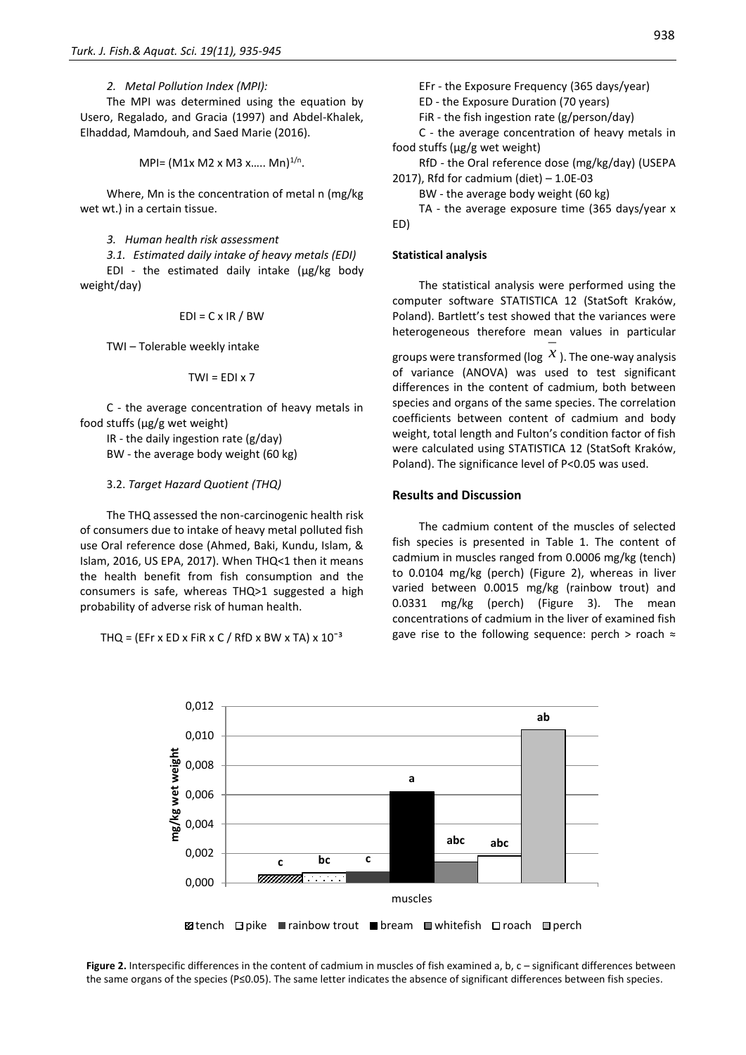*2. Metal Pollution Index (MPI):*

The MPI was determined using the equation by Usero, Regalado, and Gracia (1997) and Abdel-Khalek, Elhaddad, Mamdouh, and Saed Marie (2016).

 $MPI = (M1x M2 x M3 x..... Mn)^{1/n}.$ 

Where, Mn is the concentration of metal n (mg/kg wet wt.) in a certain tissue.

# *3. Human health risk assessment*

*3.1. Estimated daily intake of heavy metals (EDI)* EDI - the estimated daily intake (μg/kg body weight/day)

$$
EDI = C \times IR / BW
$$

TWI – Tolerable weekly intake

$$
TWI = EDI \times 7
$$

C - the average concentration of heavy metals in food stuffs (μg/g wet weight)

IR - the daily ingestion rate (g/day) BW - the average body weight (60 kg)

#### 3.2. *Target Hazard Quotient (THQ)*

The THQ assessed the non-carcinogenic health risk of consumers due to intake of heavy metal polluted fish use Oral reference dose (Ahmed, Baki, Kundu, Islam, & Islam, 2016, US EPA, 2017). When THQ<1 then it means the health benefit from fish consumption and the consumers is safe, whereas THQ>1 suggested a high probability of adverse risk of human health.

THQ = (EFr x ED x FiR x C / RfD x BW x TA) x  $10^{-3}$ 

EFr - the Exposure Frequency (365 days/year)

ED - the Exposure Duration (70 years)

FiR - the fish ingestion rate (g/person/day)

C - the average concentration of heavy metals in food stuffs (μg/g wet weight)

RfD - the Oral reference dose (mg/kg/day) (USEPA 2017), Rfd for cadmium (diet) – 1.0E-03

BW - the average body weight (60 kg)

TA - the average exposure time (365 days/year x ED)

### **Statistical analysis**

The statistical analysis were performed using the computer software STATISTICA 12 (StatSoft Kraków, Poland). Bartlett's test showed that the variances were heterogeneous therefore mean values in particular groups were transformed (log  $\mathcal{X}$  ). The one-way analysis of variance (ANOVA) was used to test significant differences in the content of cadmium, both between species and organs of the same species. The correlation coefficients between content of cadmium and body weight, total length and Fulton's condition factor of fish were calculated using STATISTICA 12 (StatSoft Kraków,

Poland). The significance level of P<0.05 was used.

#### **Results and Discussion**

The cadmium content of the muscles of selected fish species is presented in Table 1. The content of cadmium in muscles ranged from 0.0006 mg/kg (tench) to 0.0104 mg/kg (perch) (Figure 2), whereas in liver varied between 0.0015 mg/kg (rainbow trout) and 0.0331 mg/kg (perch) (Figure 3). The mean concentrations of cadmium in the liver of examined fish gave rise to the following sequence: perch > roach  $\approx$ 



**Figure 2.** Interspecific differences in the content of cadmium in muscles of fish examined a, b, c – significant differences between the same organs of the species (P≤0.05). The same letter indicates the absence of significant differences between fish species.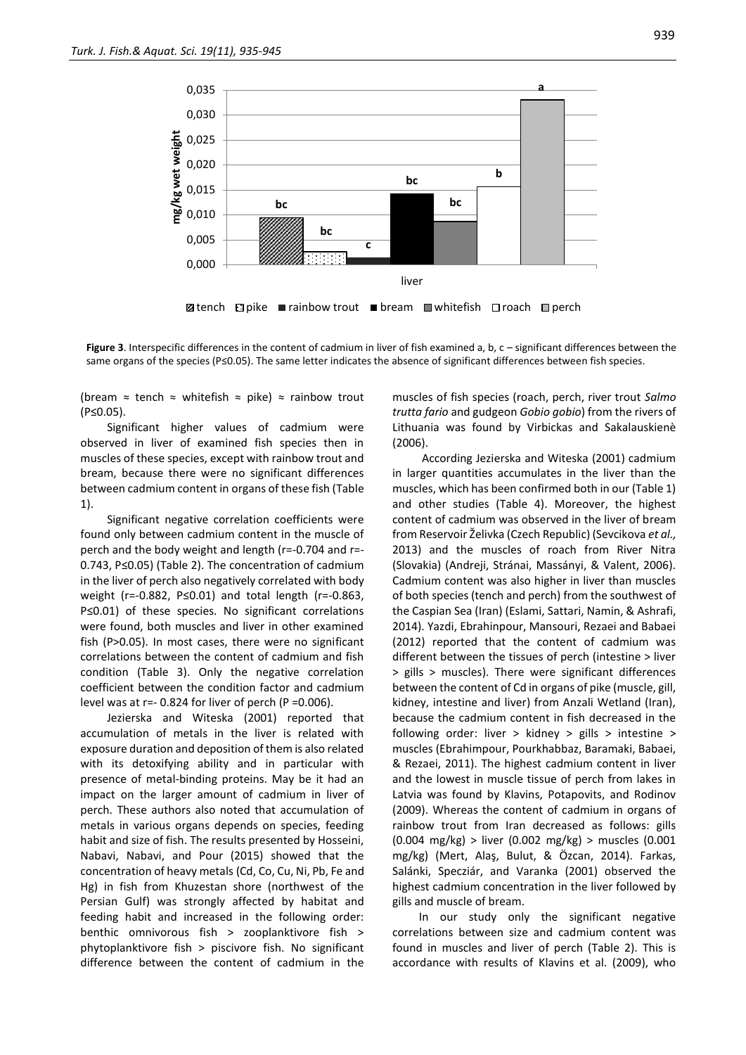

**Ø**tench **Dike ∎rainbow trout ■bream ■whitefish Droach ID perch** 

**Figure 3**. Interspecific differences in the content of cadmium in liver of fish examined a, b, c – significant differences between the same organs of the species (P≤0.05). The same letter indicates the absence of significant differences between fish species.

(bream  $\approx$  tench  $\approx$  whitefish  $\approx$  pike)  $\approx$  rainbow trout (P≤0.05).

Significant higher values of cadmium were observed in liver of examined fish species then in muscles of these species, except with rainbow trout and bream, because there were no significant differences between cadmium content in organs of these fish (Table 1).

Significant negative correlation coefficients were found only between cadmium content in the muscle of perch and the body weight and length (r=-0.704 and r=- 0.743, P≤0.05) (Table 2). The concentration of cadmium in the liver of perch also negatively correlated with body weight (r=-0.882, P≤0.01) and total length (r=-0.863, P≤0.01) of these species. No significant correlations were found, both muscles and liver in other examined fish (P>0.05). In most cases, there were no significant correlations between the content of cadmium and fish condition (Table 3). Only the negative correlation coefficient between the condition factor and cadmium level was at  $r=-0.824$  for liver of perch (P =  $0.006$ ).

Jezierska and Witeska (2001) reported that accumulation of metals in the liver is related with exposure duration and deposition of them is also related with its detoxifying ability and in particular with presence of metal-binding proteins. May be it had an impact on the larger amount of cadmium in liver of perch. These authors also noted that accumulation of metals in various organs depends on species, feeding habit and size of fish. The results presented by Hosseini, Nabavi, Nabavi, and Pour (2015) showed that the concentration of heavy metals (Cd, Co, Cu, Ni, Pb, Fe and Hg) in fish from Khuzestan shore (northwest of the Persian Gulf) was strongly affected by habitat and feeding habit and increased in the following order: benthic omnivorous fish > zooplanktivore fish > phytoplanktivore fish > piscivore fish. No significant difference between the content of cadmium in the

muscles of fish species (roach, perch, river trout *Salmo trutta fario* and gudgeon *Gobio gobio*) from the rivers of Lithuania was found by Virbickas and Sakalauskienè (2006).

According Jezierska and Witeska (2001) cadmium in larger quantities accumulates in the liver than the muscles, which has been confirmed both in our (Table 1) and other studies (Table 4). Moreover, the highest content of cadmium was observed in the liver of bream from Reservoir Želivka (Czech Republic) (Sevcikova *et al.,* 2013) and the muscles of roach from River Nitra (Slovakia) (Andreji, Stránai, Massányi, & Valent, 2006). Cadmium content was also higher in liver than muscles of both species (tench and perch) from the southwest of the Caspian Sea (Iran) (Eslami, Sattari, Namin, & Ashrafi, 2014). Yazdi, Ebrahinpour, Mansouri, Rezaei and Babaei (2012) reported that the content of cadmium was different between the tissues of perch (intestine > liver > gills > muscles). There were significant differences between the content of Cd in organs of pike (muscle, gill, kidney, intestine and liver) from Anzali Wetland (Iran), because the cadmium content in fish decreased in the following order: liver > kidney > gills > intestine > muscles (Ebrahimpour, Pourkhabbaz, Baramaki, Babaei, & Rezaei, 2011). The highest cadmium content in liver and the lowest in muscle tissue of perch from lakes in Latvia was found by Klavins, Potapovits, and Rodinov (2009). Whereas the content of cadmium in organs of rainbow trout from Iran decreased as follows: gills (0.004 mg/kg) > liver (0.002 mg/kg) > muscles (0.001 mg/kg) (Mert, Alaş, Bulut, & Özcan, 2014). Farkas, Salánki, Specziár, and Varanka (2001) observed the highest cadmium concentration in the liver followed by gills and muscle of bream.

In our study only the significant negative correlations between size and cadmium content was found in muscles and liver of perch (Table 2). This is accordance with results of Klavins et al. (2009), who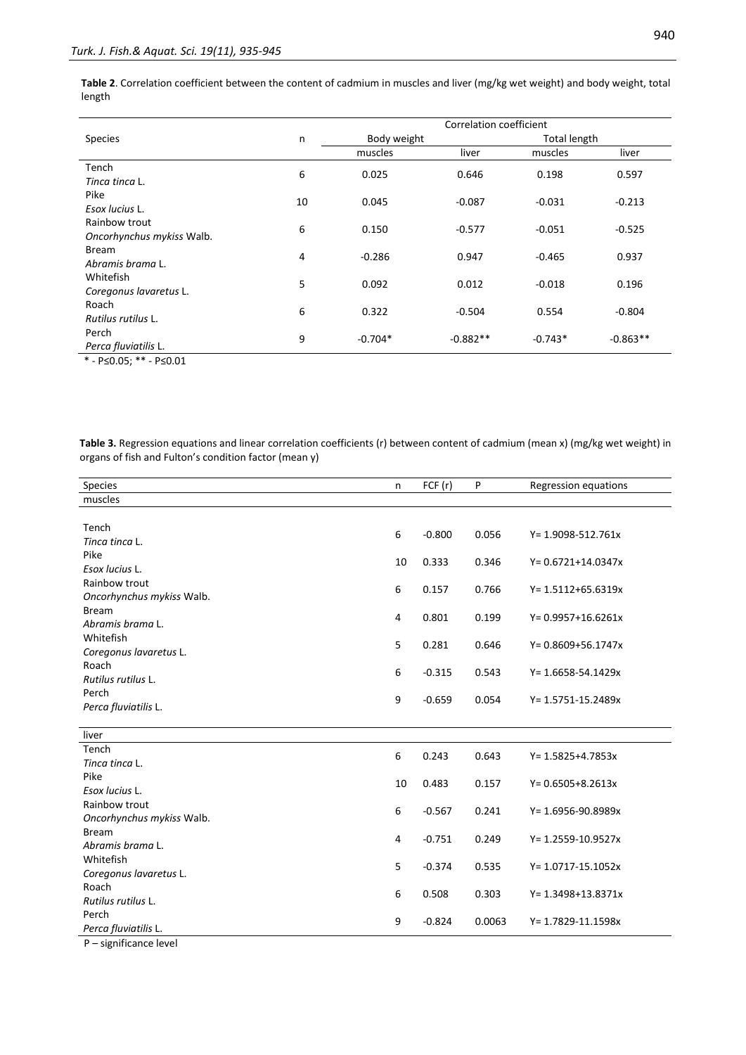**Table 2**. Correlation coefficient between the content of cadmium in muscles and liver (mg/kg wet weight) and body weight, total length

|                                                   |    |             |            | Correlation coefficient |            |  |
|---------------------------------------------------|----|-------------|------------|-------------------------|------------|--|
| <b>Species</b>                                    | n  | Body weight |            | Total length            |            |  |
|                                                   |    | muscles     | liver      | muscles                 | liver      |  |
| Tench                                             | 6  | 0.025       | 0.646      | 0.198                   | 0.597      |  |
| Tinca tinca L.                                    |    |             |            |                         |            |  |
| Pike                                              | 10 | 0.045       | $-0.087$   | $-0.031$                | $-0.213$   |  |
| Esox lucius L.                                    |    |             |            |                         |            |  |
| Rainbow trout                                     | 6  | 0.150       | $-0.577$   | $-0.051$                | $-0.525$   |  |
| Oncorhynchus mykiss Walb.                         |    |             |            |                         |            |  |
| <b>Bream</b>                                      | 4  | $-0.286$    | 0.947      | $-0.465$                | 0.937      |  |
| Abramis brama L.                                  |    |             |            |                         |            |  |
| Whitefish                                         | 5  | 0.092       | 0.012      | $-0.018$                | 0.196      |  |
| Coregonus lavaretus L.                            |    |             |            |                         |            |  |
| Roach                                             | 6  | 0.322       | $-0.504$   | 0.554                   | $-0.804$   |  |
| Rutilus rutilus L.                                |    |             |            |                         |            |  |
| Perch                                             | 9  | $-0.704*$   | $-0.882**$ | $-0.743*$               | $-0.863**$ |  |
| Perca fluviatilis L.                              |    |             |            |                         |            |  |
| $*$ $D \times Q$ $D$ $*$ $*$ $D \times Q$ $Q$ $Q$ |    |             |            |                         |            |  |

\* - P≤0.05; \*\* - P≤0.01

**Table 3.** Regression equations and linear correlation coefficients (r) between content of cadmium (mean x) (mg/kg wet weight) in organs of fish and Fulton's condition factor (mean y)

| Species                   | n  | FCF(r)   | P      | Regression equations    |
|---------------------------|----|----------|--------|-------------------------|
| muscles                   |    |          |        |                         |
|                           |    |          |        |                         |
| Tench                     | 6  | $-0.800$ | 0.056  | Y= 1.9098-512.761x      |
| Tinca tinca L.            |    |          |        |                         |
| Pike                      | 10 | 0.333    | 0.346  | $Y = 0.6721 + 14.0347x$ |
| Esox lucius L.            |    |          |        |                         |
| Rainbow trout             | 6  | 0.157    | 0.766  | $Y = 1.5112 + 65.6319x$ |
| Oncorhynchus mykiss Walb. |    |          |        |                         |
| <b>Bream</b>              | 4  | 0.801    | 0.199  | $Y = 0.9957 + 16.6261x$ |
| Abramis brama L.          |    |          |        |                         |
| Whitefish                 | 5  | 0.281    | 0.646  | $Y = 0.8609 + 56.1747x$ |
| Coregonus lavaretus L.    |    |          |        |                         |
| Roach                     | 6  | $-0.315$ | 0.543  | Y= 1.6658-54.1429x      |
| Rutilus rutilus L.        |    |          |        |                         |
| Perch                     | 9  | $-0.659$ | 0.054  | Y= 1.5751-15.2489x      |
| Perca fluviatilis L.      |    |          |        |                         |
|                           |    |          |        |                         |
| liver                     |    |          |        |                         |
| Tench                     | 6  | 0.243    | 0.643  | $Y = 1.5825 + 4.7853x$  |
| Tinca tinca L.            |    |          |        |                         |
| Pike                      | 10 | 0.483    | 0.157  | $Y = 0.6505 + 8.2613x$  |
| Esox lucius L.            |    |          |        |                         |
| Rainbow trout             | 6  | $-0.567$ | 0.241  | $Y = 1.6956 - 90.8989x$ |
| Oncorhynchus mykiss Walb. |    |          |        |                         |
| <b>Bream</b>              | 4  | $-0.751$ | 0.249  | Y= 1.2559-10.9527x      |
| Abramis brama L.          |    |          |        |                         |
| Whitefish                 | 5  | $-0.374$ | 0.535  | Y= 1.0717-15.1052x      |
| Coregonus lavaretus L.    |    |          |        |                         |
| Roach                     | 6  | 0.508    | 0.303  | Y= 1.3498+13.8371x      |
| Rutilus rutilus L.        |    |          |        |                         |
| Perch                     | 9  | $-0.824$ | 0.0063 | Y= 1.7829-11.1598x      |
| Perca fluviatilis L.      |    |          |        |                         |

P – significance level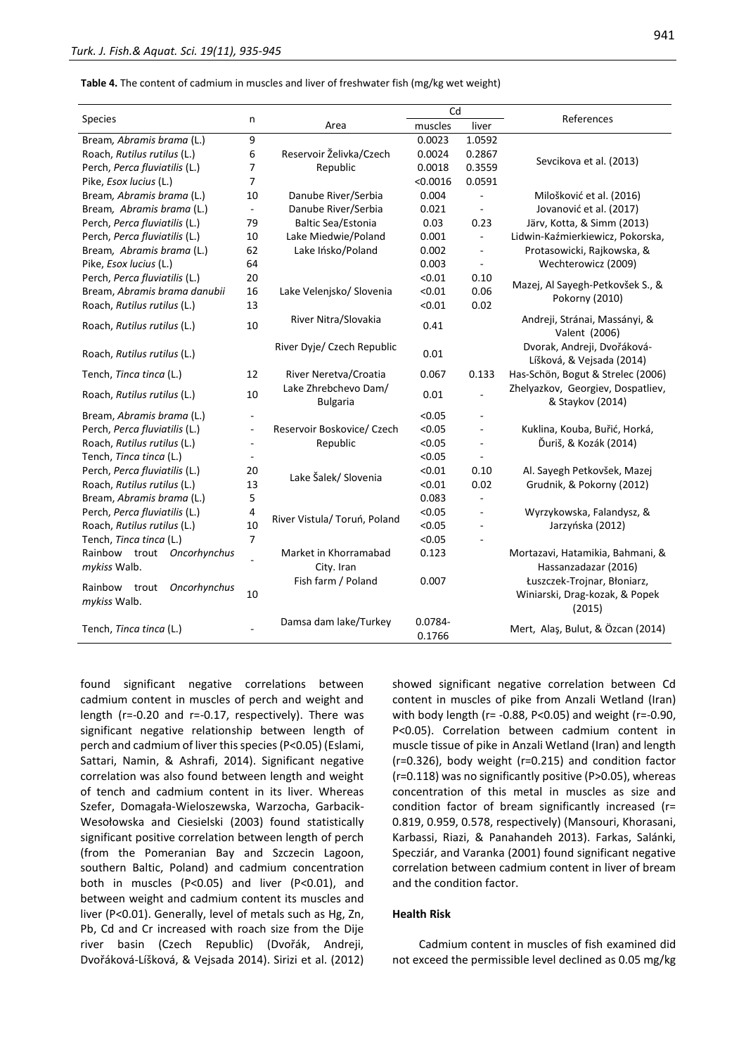**Table 4.** The content of cadmium in muscles and liver of freshwater fish (mg/kg wet weight)

|                                                  | n                        |                                         | Cd                |                          |                                                                         |  |
|--------------------------------------------------|--------------------------|-----------------------------------------|-------------------|--------------------------|-------------------------------------------------------------------------|--|
| Species                                          |                          | Area                                    | muscles           | liver                    | References                                                              |  |
| Bream, Abramis brama (L.)                        | 9                        |                                         | 0.0023            | 1.0592                   |                                                                         |  |
| Roach, Rutilus rutilus (L.)                      | 6                        | Reservoir Želivka/Czech                 | 0.0024            | 0.2867                   |                                                                         |  |
| Perch, Perca fluviatilis (L.)                    | $\overline{7}$           | Republic                                | 0.0018            | 0.3559                   | Sevcikova et al. (2013)                                                 |  |
| Pike, Esox lucius (L.)                           | 7                        |                                         | < 0.0016          | 0.0591                   |                                                                         |  |
| Bream, Abramis brama (L.)                        | 10                       | Danube River/Serbia                     | 0.004             | $\sim$                   | Milošković et al. (2016)                                                |  |
| Bream, Abramis brama (L.)                        |                          | Danube River/Serbia                     | 0.021             |                          | Jovanović et al. (2017)                                                 |  |
| Perch, Perca fluviatilis (L.)                    | 79                       | <b>Baltic Sea/Estonia</b>               | 0.03              | 0.23                     | Järv, Kotta, & Simm (2013)                                              |  |
| Perch, Perca fluviatilis (L.)                    | 10                       | Lake Miedwie/Poland                     | 0.001             | $\mathbf{r}$             | Lidwin-Kaźmierkiewicz, Pokorska,                                        |  |
| Bream, Abramis brama (L.)                        | 62                       | Lake Ińsko/Poland                       | 0.002             | $\blacksquare$           | Protasowicki, Rajkowska, &                                              |  |
| Pike, Esox lucius (L.)                           | 64                       |                                         | 0.003             | $\blacksquare$           | Wechterowicz (2009)                                                     |  |
| Perch, Perca fluviatilis (L.)                    | 20                       |                                         | < 0.01            | 0.10                     |                                                                         |  |
| Bream, Abramis brama danubii                     | 16                       | Lake Velenjsko/ Slovenia                | < 0.01            | 0.06                     | Mazej, Al Sayegh-Petkovšek S., &                                        |  |
| Roach, Rutilus rutilus (L.)                      | 13                       |                                         | < 0.01            | 0.02                     | Pokorny (2010)                                                          |  |
| Roach, Rutilus rutilus (L.)                      | 10                       | River Nitra/Slovakia                    | 0.41              |                          | Andreji, Stránai, Massányi, &<br>Valent (2006)                          |  |
| Roach, Rutilus rutilus (L.)                      |                          | River Dyje/ Czech Republic              | 0.01              |                          | Dvorak, Andreji, Dvořáková-<br>Líšková, & Vejsada (2014)                |  |
| Tench, Tinca tinca (L.)                          | 12                       | River Neretva/Croatia                   | 0.067             | 0.133                    | Has-Schön, Bogut & Strelec (2006)                                       |  |
| Roach, Rutilus rutilus (L.)                      | 10                       | Lake Zhrebchevo Dam/<br><b>Bulgaria</b> | 0.01              |                          | Zhelyazkov, Georgiev, Dospatliev,<br>& Staykov (2014)                   |  |
| Bream, Abramis brama (L.)                        |                          |                                         | < 0.05            |                          |                                                                         |  |
| Perch, Perca fluviatilis (L.)                    | $\overline{\phantom{a}}$ | Reservoir Boskovice/ Czech              | < 0.05            | $\blacksquare$           | Kuklina, Kouba, Buřić, Horká,                                           |  |
| Roach, Rutilus rutilus (L.)                      |                          | Republic                                | < 0.05            | $\overline{\phantom{a}}$ | Ďuriš, & Kozák (2014)                                                   |  |
| Tench, Tinca tinca (L.)                          |                          |                                         | < 0.05            |                          |                                                                         |  |
| Perch, Perca fluviatilis (L.)                    | 20                       | Lake Šalek/ Slovenia                    | < 0.01            | 0.10                     | Al. Sayegh Petkovšek, Mazej                                             |  |
| Roach, Rutilus rutilus (L.)                      | 13                       |                                         | < 0.01            | 0.02                     | Grudnik, & Pokorny (2012)                                               |  |
| Bream, Abramis brama (L.)                        | 5                        |                                         | 0.083             | ÷.                       |                                                                         |  |
| Perch, Perca fluviatilis (L.)                    | 4                        |                                         | < 0.05            | $\overline{\phantom{a}}$ | Wyrzykowska, Falandysz, &                                               |  |
| Roach, Rutilus rutilus (L.)                      | 10                       | River Vistula/ Toruń, Poland            | < 0.05            |                          | Jarzyńska (2012)                                                        |  |
| Tench, Tinca tinca (L.)                          | $\overline{7}$           |                                         | < 0.05            |                          |                                                                         |  |
| Rainbow trout Oncorhynchus                       |                          | Market in Khorramabad                   | 0.123             |                          | Mortazavi, Hatamikia, Bahmani, &                                        |  |
| mykiss Walb.                                     |                          | City. Iran                              |                   |                          | Hassanzadazar (2016)                                                    |  |
| Rainbow<br>Oncorhynchus<br>trout<br>mykiss Walb. | 10                       | Fish farm / Poland                      | 0.007             |                          | Łuszczek-Trojnar, Błoniarz,<br>Winiarski, Drag-kozak, & Popek<br>(2015) |  |
| Tench, Tinca tinca (L.)                          |                          | Damsa dam lake/Turkey                   | 0.0784-<br>0.1766 |                          | Mert, Alaş, Bulut, & Özcan (2014)                                       |  |

found significant negative correlations between cadmium content in muscles of perch and weight and length (r=-0.20 and r=-0.17, respectively). There was significant negative relationship between length of perch and cadmium of liver this species (P<0.05) (Eslami, Sattari, Namin, & Ashrafi, 2014). Significant negative correlation was also found between length and weight of tench and cadmium content in its liver. Whereas Szefer, Domagała-Wieloszewska, Warzocha, Garbacik-Wesołowska and Ciesielski (2003) found statistically significant positive correlation between length of perch (from the Pomeranian Bay and Szczecin Lagoon, southern Baltic, Poland) and cadmium concentration both in muscles (P<0.05) and liver (P<0.01), and between weight and cadmium content its muscles and liver (P<0.01). Generally, level of metals such as Hg, Zn, Pb, Cd and Cr increased with roach size from the Dije river basin (Czech Republic) (Dvořák, Andreji, Dvořáková-Líšková, & Vejsada 2014). Sirizi et al. (2012) showed significant negative correlation between Cd content in muscles of pike from Anzali Wetland (Iran) with body length (r= -0.88, P<0.05) and weight (r=-0.90, P<0.05). Correlation between cadmium content in muscle tissue of pike in Anzali Wetland (Iran) and length (r=0.326), body weight (r=0.215) and condition factor (r=0.118) was no significantly positive (P>0.05), whereas concentration of this metal in muscles as size and condition factor of bream significantly increased (r= 0.819, 0.959, 0.578, respectively) (Mansouri, Khorasani, Karbassi, Riazi, & Panahandeh 2013). Farkas, Salánki, Specziár, and Varanka (2001) found significant negative correlation between cadmium content in liver of bream and the condition factor.

#### **Health Risk**

Cadmium content in muscles of fish examined did not exceed the permissible level declined as 0.05 mg/kg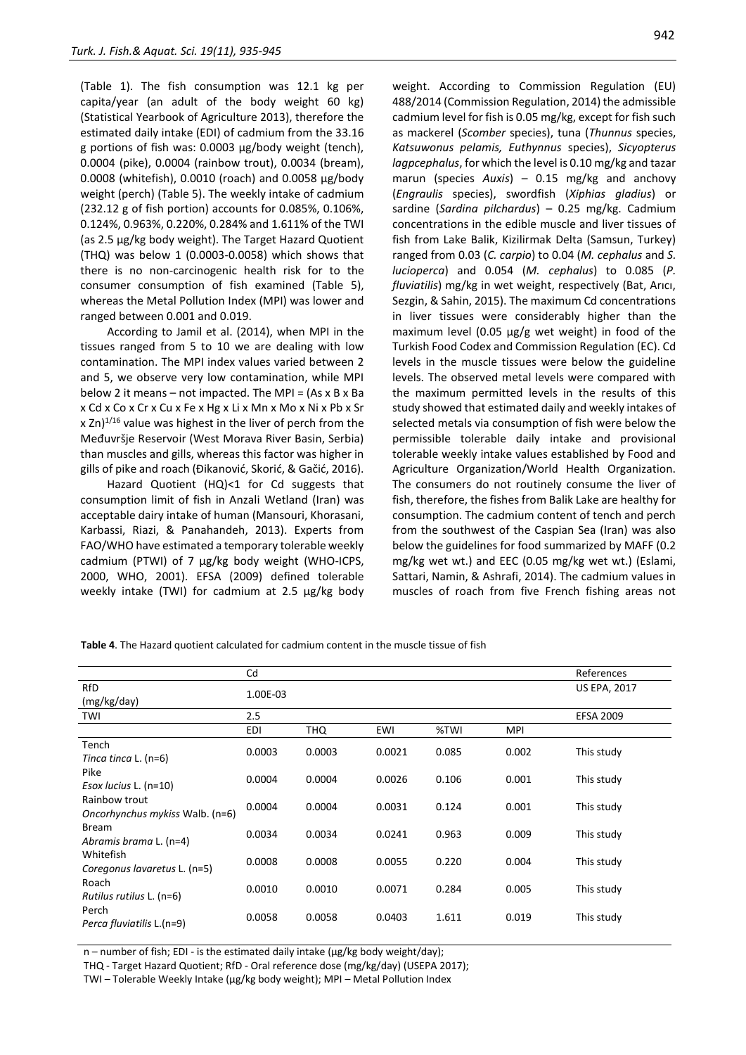(Table 1). The fish consumption was 12.1 kg per capita/year (an adult of the body weight 60 kg) (Statistical Yearbook of Agriculture 2013), therefore the estimated daily intake (EDI) of cadmium from the 33.16 g portions of fish was: 0.0003 μg/body weight (tench), 0.0004 (pike), 0.0004 (rainbow trout), 0.0034 (bream), 0.0008 (whitefish), 0.0010 (roach) and 0.0058 μg/body weight (perch) (Table 5). The weekly intake of cadmium (232.12 g of fish portion) accounts for 0.085%, 0.106%, 0.124%, 0.963%, 0.220%, 0.284% and 1.611% of the TWI (as 2.5 µg/kg body weight). The Target Hazard Quotient (THQ) was below 1 (0.0003-0.0058) which shows that there is no non-carcinogenic health risk for to the consumer consumption of fish examined (Table 5), whereas the Metal Pollution Index (MPI) was lower and ranged between 0.001 and 0.019.

According to Jamil et al. (2014), when MPI in the tissues ranged from 5 to 10 we are dealing with low contamination. The MPI index values varied between 2 and 5, we observe very low contamination, while MPI below 2 it means – not impacted. The MPI =  $(As x B x Ba)$ x Cd x Co x Cr x Cu x Fe x Hg x Li x Mn x Mo x Ni x Pb x Sr x Zn) $^{1/16}$  value was highest in the liver of perch from the Međuvršje Reservoir (West Morava River Basin, Serbia) than muscles and gills, whereas this factor was higher in gills of pike and roach (Đikanović, Skorić, & Gačić, 2016).

Hazard Quotient (HQ)<1 for Cd suggests that consumption limit of fish in Anzali Wetland (Iran) was acceptable dairy intake of human (Mansouri, Khorasani, Karbassi, Riazi, & Panahandeh, 2013). Experts from FAO/WHO have estimated a temporary tolerable weekly cadmium (PTWI) of 7 μg/kg body weight (WHO-ICPS, 2000, WHO, 2001). EFSA (2009) defined tolerable weekly intake (TWI) for cadmium at 2.5 μg/kg body

weight. According to Commission Regulation (EU) 488/2014 (Commission Regulation, 2014) the admissible cadmium level for fish is 0.05 mg/kg, except for fish such as mackerel (*Scomber* species), tuna (*Thunnus* species, *Katsuwonus pelamis, Euthynnus* species), *Sicyopterus lagpcephalus*, for which the level is 0.10 mg/kg and tazar marun (species *Auxis*) – 0.15 mg/kg and anchovy (*Engraulis* species), swordfish (*Xiphias gladius*) or sardine (*Sardina pilchardus*) – 0.25 mg/kg. Cadmium concentrations in the edible muscle and liver tissues of fish from Lake Balik, Kizilirmak Delta (Samsun, Turkey) ranged from 0.03 (*C. carpio*) to 0.04 (*M. cephalus* and *S. lucioperca*) and 0.054 (*M. cephalus*) to 0.085 (*P. fluviatilis*) mg/kg in wet weight, respectively (Bat, Arıcı, Sezgin, & Sahin, 2015). The maximum Cd concentrations in liver tissues were considerably higher than the maximum level (0.05 μg/g wet weight) in food of the Turkish Food Codex and Commission Regulation (EC). Cd levels in the muscle tissues were below the guideline levels. The observed metal levels were compared with the maximum permitted levels in the results of this study showed that estimated daily and weekly intakes of selected metals via consumption of fish were below the permissible tolerable daily intake and provisional tolerable weekly intake values established by Food and Agriculture Organization/World Health Organization. The consumers do not routinely consume the liver of fish, therefore, the fishes from Balik Lake are healthy for consumption. The cadmium content of tench and perch from the southwest of the Caspian Sea (Iran) was also below the guidelines for food summarized by MAFF (0.2 mg/kg wet wt.) and EEC (0.05 mg/kg wet wt.) (Eslami, Sattari, Namin, & Ashrafi, 2014). The cadmium values in muscles of roach from five French fishing areas not

|                                                                                                                                                              | Cd       |        |                  |       |       | References          |
|--------------------------------------------------------------------------------------------------------------------------------------------------------------|----------|--------|------------------|-------|-------|---------------------|
| RfD<br>(mg/kg/day)                                                                                                                                           | 1.00E-03 |        |                  |       |       | <b>US EPA, 2017</b> |
| TWI                                                                                                                                                          | 2.5      |        | <b>EFSA 2009</b> |       |       |                     |
|                                                                                                                                                              | EDI      | THQ    | EWI              | %TWI  | MPI   |                     |
| Tench<br>Tinca tinca L. (n=6)<br>Pike<br>Esox lucius L. (n=10)<br>Rainbow trout<br>Oncorhynchus mykiss Walb. (n=6)<br><b>Bream</b><br>Abramis brama L. (n=4) | 0.0003   | 0.0003 | 0.0021           | 0.085 | 0.002 | This study          |
|                                                                                                                                                              | 0.0004   | 0.0004 | 0.0026           | 0.106 | 0.001 | This study          |
|                                                                                                                                                              | 0.0004   | 0.0004 | 0.0031           | 0.124 | 0.001 | This study          |
|                                                                                                                                                              | 0.0034   | 0.0034 | 0.0241           | 0.963 | 0.009 | This study          |
| Whitefish<br>Coregonus lavaretus L. (n=5)                                                                                                                    | 0.0008   | 0.0008 | 0.0055           | 0.220 | 0.004 | This study          |
| Roach<br>Rutilus rutilus L. (n=6)                                                                                                                            | 0.0010   | 0.0010 | 0.0071           | 0.284 | 0.005 | This study          |
| Perch<br>Perca fluviatilis L.(n=9)                                                                                                                           | 0.0058   | 0.0058 | 0.0403           | 1.611 | 0.019 | This study          |
|                                                                                                                                                              |          |        |                  |       |       |                     |

**Table 4**. The Hazard quotient calculated for cadmium content in the muscle tissue of fish

n – number of fish; EDI - is the estimated daily intake (μg/kg body weight/day);

THQ - Target Hazard Quotient; RfD - Oral reference dose (mg/kg/day) (USEPA 2017);

TWI – Tolerable Weekly Intake (µg/kg body weight); MPI – Metal Pollution Index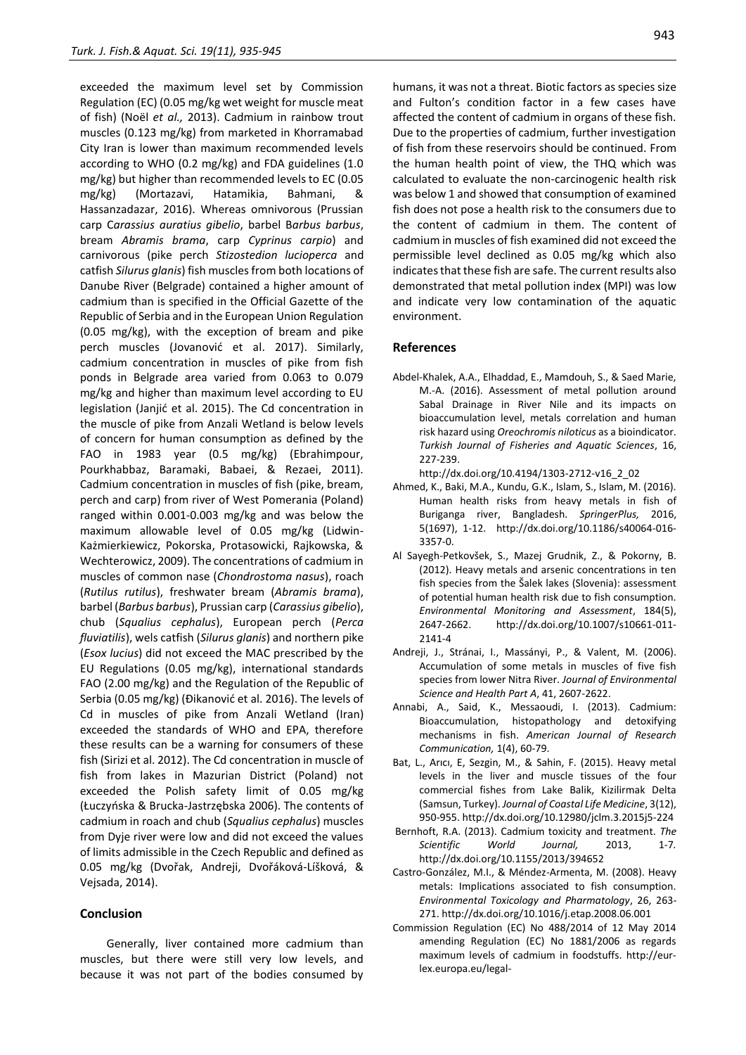exceeded the maximum level set by Commission Regulation (EC) (0.05 mg/kg wet weight for muscle meat of fish) (Noël *et al.,* 2013). Cadmium in rainbow trout muscles (0.123 mg/kg) from marketed in Khorramabad City Iran is lower than maximum recommended levels according to WHO (0.2 mg/kg) and FDA guidelines (1.0 mg/kg) but higher than recommended levels to EC (0.05 mg/kg) (Mortazavi, Hatamikia, Bahmani, & Hassanzadazar, 2016). Whereas omnivorous (Prussian carp C*arassius auratius gibelio*, barbel B*arbus barbus*, bream *Abramis brama*, carp *Cyprinus carpio*) and carnivorous (pike perch *Stizostedion lucioperca* and catfish *Silurus glanis*) fish muscles from both locations of Danube River (Belgrade) contained a higher amount of cadmium than is specified in the Official Gazette of the Republic of Serbia and in the European Union Regulation (0.05 mg/kg), with the exception of bream and pike perch muscles (Jovanović et al. 2017). Similarly, cadmium concentration in muscles of pike from fish ponds in Belgrade area varied from 0.063 to 0.079 mg/kg and higher than maximum level according to EU legislation (Janjić et al. 2015). The Cd concentration in the muscle of pike from Anzali Wetland is below levels of concern for human consumption as defined by the FAO in 1983 year (0.5 mg/kg) (Ebrahimpour, Pourkhabbaz, Baramaki, Babaei, & Rezaei, 2011). Cadmium concentration in muscles of fish (pike, bream, perch and carp) from river of West Pomerania (Poland) ranged within 0.001-0.003 mg/kg and was below the maximum allowable level of 0.05 mg/kg (Lidwin-Każmierkiewicz, Pokorska, Protasowicki, Rajkowska, & Wechterowicz, 2009). The concentrations of cadmium in muscles of common nase (*Chondrostoma nasus*), roach (*Rutilus rutilus*), freshwater bream (*Abramis brama*), barbel (*Barbus barbus*), Prussian carp (*Carassius gibelio*), chub (*Squalius cephalus*), European perch (*Perca fluviatilis*), wels catfish (*Silurus glanis*) and northern pike (*Esox lucius*) did not exceed the MAC prescribed by the EU Regulations (0.05 mg/kg), international standards FAO (2.00 mg/kg) and the Regulation of the Republic of Serbia (0.05 mg/kg) (Đikanović et al. 2016). The levels of Cd in muscles of pike from Anzali Wetland (Iran) exceeded the standards of WHO and EPA, therefore these results can be a warning for consumers of these fish (Sirizi et al. 2012). The Cd concentration in muscle of fish from lakes in Mazurian District (Poland) not exceeded the Polish safety limit of 0.05 mg/kg (Łuczyńska & Brucka-Jastrzębska 2006). The contents of cadmium in roach and chub (*Squalius cephalus*) muscles from Dyje river were low and did not exceed the values of limits admissible in the Czech Republic and defined as 0.05 mg/kg (Dvořak, Andreji, Dvořáková-Líšková, & Vejsada, 2014).

#### **Conclusion**

Generally, liver contained more cadmium than muscles, but there were still very low levels, and because it was not part of the bodies consumed by humans, it was not a threat. Biotic factors as species size and Fulton's condition factor in a few cases have affected the content of cadmium in organs of these fish. Due to the properties of cadmium, further investigation of fish from these reservoirs should be continued. From the human health point of view, the THQ which was calculated to evaluate the non-carcinogenic health risk was below 1 and showed that consumption of examined fish does not pose a health risk to the consumers due to the content of cadmium in them. The content of cadmium in muscles of fish examined did not exceed the permissible level declined as 0.05 mg/kg which also indicates that these fish are safe. The current results also demonstrated that metal pollution index (MPI) was low and indicate very low contamination of the aquatic environment.

# **References**

Abdel-Khalek, A.A., Elhaddad, E., Mamdouh, S., & Saed Marie, M.-A. (2016). Assessment of metal pollution around Sabal Drainage in River Nile and its impacts on bioaccumulation level, metals correlation and human risk hazard using *Oreochromis niloticus* as a bioindicator. *Turkish Journal of Fisheries and Aquatic Sciences*, 16, 227-239.

http://dx.doi.org/10.4194/1303-2712-v16\_2\_02

- Ahmed, K., Baki, M.A., Kundu, G.K., Islam, S., Islam, M. (2016). Human health risks from heavy metals in fish of Buriganga river, Bangladesh. *SpringerPlus,* 2016, 5(1697), 1-12. http://dx.doi.org/10.1186/s40064-016- 3357-0.
- Al Sayegh-Petkovšek, S., Mazej Grudnik, Z., & Pokorny, B. (2012). Heavy metals and arsenic concentrations in ten fish species from the Šalek lakes (Slovenia): assessment of potential human health risk due to fish consumption. *Environmental Monitoring and Assessment*, 184(5), 2647-2662. http://dx.doi.org/10.1007/s10661-011- 2141-4
- Andreji, J., Stránai, I., Massányi, P., & Valent, M. (2006). Accumulation of some metals in muscles of five fish species from lower Nitra River. *Journal of Environmental Science and Health Part A*, 41, 2607-2622.
- Annabi, A., Said, K., Messaoudi, I. (2013). Cadmium: Bioaccumulation, histopathology and detoxifying mechanisms in fish. *American Journal of Research Communication,* 1(4), 60-79.
- Bat, L., Arıcı, E, Sezgin, M., & Sahin, F. (2015). Heavy metal levels in the liver and muscle tissues of the four commercial fishes from Lake Balik, Kizilirmak Delta (Samsun, Turkey). *Journal of Coastal Life Medicine*, 3(12), 950-955. http://dx.doi.org/10.12980/jclm.3.2015j5-224
- Bernhoft, R.A. (2013). Cadmium toxicity and treatment. *The Scientific World Journal,* 2013, 1-7*.* http://dx.doi.org/10.1155/2013/394652
- Castro-González, M.I., & Méndez-Armenta, M. (2008). Heavy metals: Implications associated to fish consumption. *Environmental Toxicology and Pharmatology*, 26, 263- 271. http://dx.doi.org/10.1016/j.etap.2008.06.001
- Commission Regulation (EC) No 488/2014 of 12 May 2014 amending Regulation (EC) No 1881/2006 as regards maximum levels of cadmium in foodstuffs. http://eurlex.europa.eu/legal-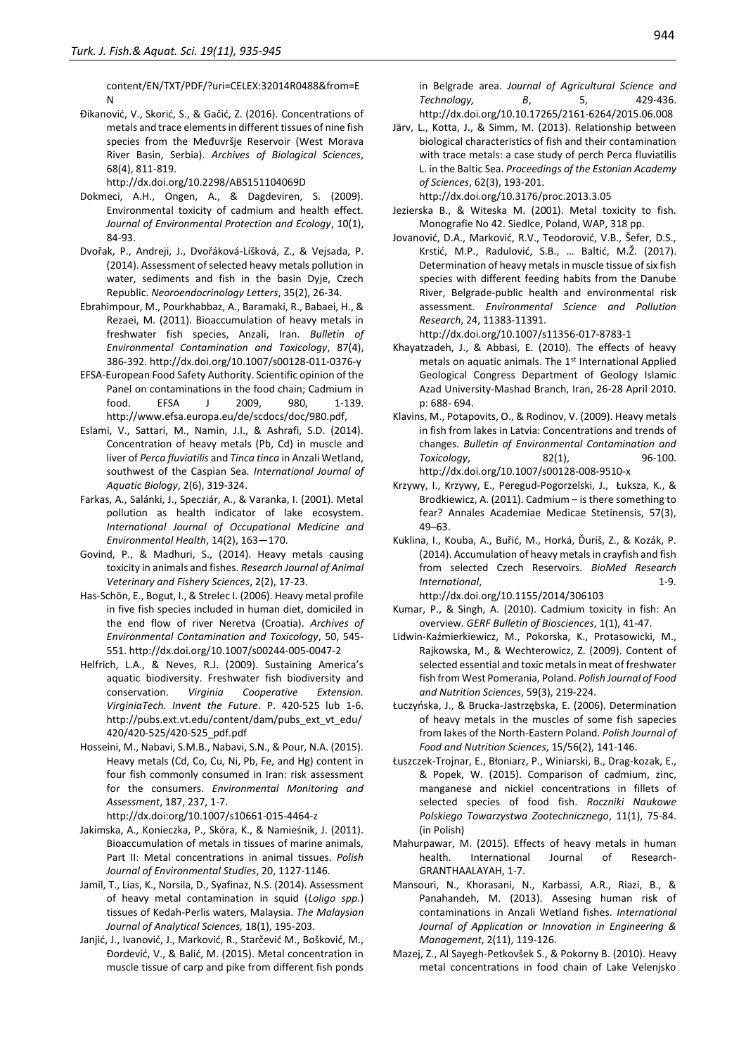content/EN/TXT/PDF/?uri=CELEX:32014R0488&from=E N

Đikanović, V., Skorić, S., & Gačić, Z. (2016). Concentrations of metals and trace elements in different tissues of nine fish species from the Međuvršje Reservoir (West Morava River Basin, Serbia). *Archives of Biological Sciences*, 68(4), 811-819.

http://dx.doi.org/10.2298/ABS151104069D

- Dokmeci, A.H., Ongen, A., & Dagdeviren, S. (2009). Environmental toxicity of cadmium and health effect. *Journal of Environmental Protection and Ecology*, 10(1), 84-93.
- Dvořak, P., Andreji, J., Dvořáková-Líšková, Z., & Vejsada, P. (2014). Assessment of selected heavy metals pollution in water, sediments and fish in the basin Dyje, Czech Republic. *Neoroendocrinology Letters*, 35(2), 26-34.
- Ebrahimpour, M., Pourkhabbaz, A., Baramaki, R., Babaei, H., & Rezaei, M. (2011). Bioaccumulation of heavy metals in freshwater fish species, Anzali, Iran. *Bulletin of Environmental Contamination and Toxicology*, 87(4), 386-392. http://dx.doi.org/10.1007/s00128-011-0376-y
- EFSA-European Food Safety Authority. Scientific opinion of the Panel on contaminations in the food chain; Cadmium in food. EFSA J 2009, 980, 1-139. http://www.efsa.europa.eu/de/scdocs/doc/980.pdf,
- Eslami, V., Sattari, M., Namin, J.I., & Ashrafi, S.D. (2014). Concentration of heavy metals (Pb, Cd) in muscle and liver of *Perca fluviatilis* and *Tinca tinca* in Anzali Wetland, southwest of the Caspian Sea. *International Journal of Aquatic Biology*, 2(6), 319-324.
- Farkas, A., Salánki, J., Specziár, A., & Varanka, I. (2001). Metal pollution as health indicator of lake ecosystem. *International Journal of Occupational Medicine and Environmental Health*, 14(2), 163—170.
- Govind, P., & Madhuri, S., (2014). Heavy metals causing toxicity in animals and fishes. *Research Journal of Animal Veterinary and Fishery Sciences*, 2(2), 17-23.
- Has-Schön, E., Bogut, I., & Strelec I. (2006). Heavy metal profile in five fish species included in human diet, domiciled in the end flow of river Neretva (Croatia). *Archives of Environmental Contamination and Toxicology*, 50, 545- 551. http://dx.doi.org/10.1007/s00244-005-0047-2
- Helfrich, L.A., & Neves, R.J. (2009). Sustaining America's aquatic biodiversity. Freshwater fish biodiversity and conservation. *Virginia Cooperative Extension. VirginiaTech. Invent the Future*. P. 420-525 lub 1-6. http://pubs.ext.vt.edu/content/dam/pubs\_ext\_vt\_edu/ 420/420-525/420-525\_pdf.pdf
- Hosseini, M., Nabavi, S.M.B., Nabavi, S.N., & Pour, N.A. (2015). Heavy metals (Cd, Co, Cu, Ni, Pb, Fe, and Hg) content in four fish commonly consumed in Iran: risk assessment for the consumers. *Environmental Monitoring and Assessment*, 187, 237, 1-7.
	- http://dx.doi:org/10.1007/s10661-015-4464-z
- Jakimska, A., Konieczka, P., Skóra, K., & Namieśnik, J. (2011). Bioaccumulation of metals in tissues of marine animals, Part II: Metal concentrations in animal tissues. *Polish Journal of Environmental Studies*, 20, 1127-1146.
- Jamil, T., Lias, K., Norsila, D., Syafinaz, N.S. (2014). Assessment of heavy metal contamination in squid (*Loligo spp*.) tissues of Kedah-Perlis waters, Malaysia. *The Malaysian Journal of Analytical Sciences,* 18(1), 195-203.
- Janjić, J., Ivanović, J., Marković, R., Starčević M., Bošković, M., Ɖordević, V., & Balić, M. (2015). Metal concentration in muscle tissue of carp and pike from different fish ponds

in Belgrade area. *Journal of Agricultural Science and Technology, B*, 5, 429-436. http://dx.doi.org/10.10.17265/2161-6264/2015.06.008

Järv, L., Kotta, J., & Simm, M. (2013). Relationship between biological characteristics of fish and their contamination with trace metals: a case study of perch Perca fluviatilis L. in the Baltic Sea. *Proceedings of the Estonian Academy of Sciences*, 62(3), 193-201.

http://dx.doi.org/10.3176/proc.2013.3.05

- Jezierska B., & Witeska M. (2001). Metal toxicity to fish. Monografie No 42. Siedlce, Poland, WAP, 318 pp.
- Jovanović, D.A., Marković, R.V., Teodorović, V.B., Šefer, D.S., Krstić, M.P., Radulović, S.B., … Baltić, M.Ž. (2017). Determination of heavy metals in muscle tissue of six fish species with different feeding habits from the Danube River, Belgrade-public health and environmental risk assessment. *Environmental Science and Pollution Research*, 24, 11383-11391.

http://dx.doi.org/10.1007/s11356-017-8783-1

- Khayatzadeh, J., & Abbasi, E. (2010). The effects of heavy metals on aquatic animals. The 1st International Applied Geological Congress Department of Geology Islamic Azad University-Mashad Branch, Iran, 26-28 April 2010. p: 688- 694.
- Klavins, M., Potapovits, O., & Rodinov, V. (2009). Heavy metals in fish from lakes in Latvia: Concentrations and trends of changes. *Bulletin of Environmental Contamination and Toxicology*, 82(1), 96-100. http://dx.doi.org/10.1007/s00128-008-9510-x
- Krzywy, I., Krzywy, E., Peregud-Pogorzelski, J., Łuksza, K., & Brodkiewicz, A. (2011). Cadmium – is there something to fear? Annales Academiae Medicae Stetinensis, 57(3), 49–63.
- Kuklina, I., Kouba, A., Buřić, M., Horká, Ďuriš, Z., & Kozák, P. (2014). Accumulation of heavy metals in crayfish and fish from selected Czech Reservoirs. *BioMed Research International*, 1-9.

http://dx.doi.org/10.1155/2014/306103

- Kumar, P., & Singh, A. (2010). Cadmium toxicity in fish: An overview*. GERF Bulletin of Biosciences*, 1(1), 41-47.
- Lidwin-Kaźmierkiewicz, M., Pokorska, K., Protasowicki, M., Rajkowska, M., & Wechterowicz, Z. (2009). Content of selected essential and toxic metals in meat of freshwater fish from West Pomerania, Poland. *Polish Journal of Food and Nutrition Sciences*, 59(3), 219-224.
- Łuczyńska, J., & Brucka-Jastrzębska, E. (2006). Determination of heavy metals in the muscles of some fish sapecies from lakes of the North-Eastern Poland. *Polish Journal of Food and Nutrition Sciences*, 15/56(2), 141-146.
- Łuszczek-Trojnar, E., Błoniarz, P., Winiarski, B., Drag-kozak, E., & Popek, W. (2015). Comparison of cadmium, zinc, manganese and nickiel concentrations in fillets of selected species of food fish. *Roczniki Naukowe Polskiego Towarzystwa Zootechnicznego*, 11(1), 75-84. (in Polish)
- Mahurpawar, M. (2015). Effects of heavy metals in human health. International Journal of Research-GRANTHAALAYAH, 1-7.
- Mansouri, N., Khorasani, N., Karbassi, A.R., Riazi, B., & Panahandeh, M. (2013). Assesing human risk of contaminations in Anzali Wetland fishes. *International Journal of Application or Innovation in Engineering & Management*, 2(11), 119-126.
- Mazej, Z., Al Sayegh-Petkovšek S., & Pokorny B. (2010). Heavy metal concentrations in food chain of Lake Velenjsko